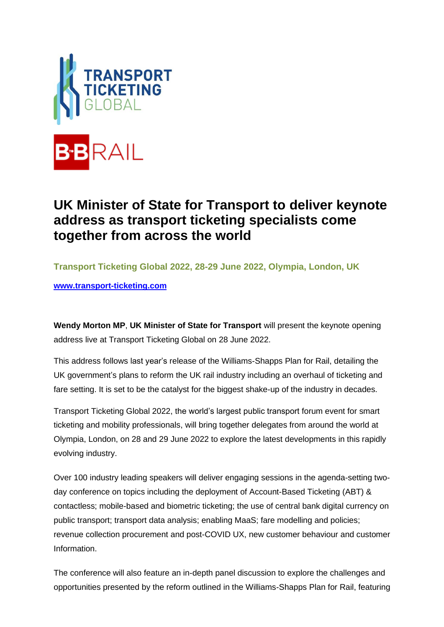

## **UK Minister of State for Transport to deliver keynote address as transport ticketing specialists come together from across the world**

**Transport Ticketing Global 2022, 28-29 June 2022, Olympia, London, UK**

**[www.transport-ticketing.com](http://www.transport-ticketing.com/)**

**Wendy Morton MP**, **UK Minister of State for Transport** will present the keynote opening address live at Transport Ticketing Global on 28 June 2022.

This address follows last year's release of the Williams-Shapps Plan for Rail, detailing the UK government's plans to reform the UK rail industry including an overhaul of ticketing and fare setting. It is set to be the catalyst for the biggest shake-up of the industry in decades.

Transport Ticketing Global 2022, the world's largest public transport forum event for smart ticketing and mobility professionals, will bring together delegates from around the world at Olympia, London, on 28 and 29 June 2022 to explore the latest developments in this rapidly evolving industry.

Over 100 industry leading speakers will deliver engaging sessions in the agenda-setting twoday conference on topics including the deployment of Account-Based Ticketing (ABT) & contactless; mobile-based and biometric ticketing; the use of central bank digital currency on public transport; transport data analysis; enabling MaaS; fare modelling and policies; revenue collection procurement and post-COVID UX, new customer behaviour and customer Information.

The conference will also feature an in-depth panel discussion to explore the challenges and opportunities presented by the reform outlined in the Williams-Shapps Plan for Rail, featuring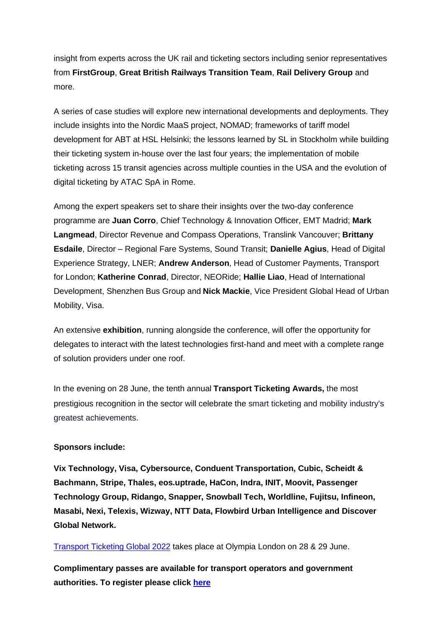insight from experts across the UK rail and ticketing sectors including senior representatives from **FirstGroup**, **Great British Railways Transition Team**, **Rail Delivery Group** and more.

A series of case studies will explore new international developments and deployments. They include insights into the Nordic MaaS project, NOMAD; frameworks of tariff model development for ABT at HSL Helsinki; the lessons learned by SL in Stockholm while building their ticketing system in-house over the last four years; the implementation of mobile ticketing across 15 transit agencies across multiple counties in the USA and the evolution of digital ticketing by ATAC SpA in Rome.

Among the expert speakers set to share their insights over the two-day conference programme are **Juan Corro**, Chief Technology & Innovation Officer, EMT Madrid; **Mark Langmead**, Director Revenue and Compass Operations, Translink Vancouver; **Brittany Esdaile**, Director – Regional Fare Systems, Sound Transit; **Danielle Agius**, Head of Digital Experience Strategy, LNER; **Andrew Anderson**, Head of Customer Payments, Transport for London; **Katherine Conrad**, Director, NEORide; **Hallie Liao**, Head of International Development, Shenzhen Bus Group and **Nick Mackie**, Vice President Global Head of Urban Mobility, Visa.

An extensive **exhibition**, running alongside the conference, will offer the opportunity for delegates to interact with the latest technologies first-hand and meet with a complete range of solution providers under one roof.

In the evening on 28 June, the tenth annual **Transport Ticketing Awards,** the most prestigious recognition in the sector will celebrate the smart ticketing and mobility industry's greatest achievements.

## **Sponsors include:**

**Vix Technology, Visa, Cybersource, Conduent Transportation, Cubic, Scheidt & Bachmann, Stripe, Thales, eos.uptrade, HaCon, Indra, INIT, Moovit, Passenger Technology Group, Ridango, Snapper, Snowball Tech, Worldline, Fujitsu, Infineon, Masabi, Nexi, Telexis, Wizway, NTT Data, Flowbird Urban Intelligence and Discover Global Network.**

[Transport Ticketing Global 2022](https://bit.ly/3LmExwU) takes place at Olympia London on 28 & 29 June.

**Complimentary passes are available for transport operators and government authorities. To register please click [here](https://bit.ly/3vbYOzn)**